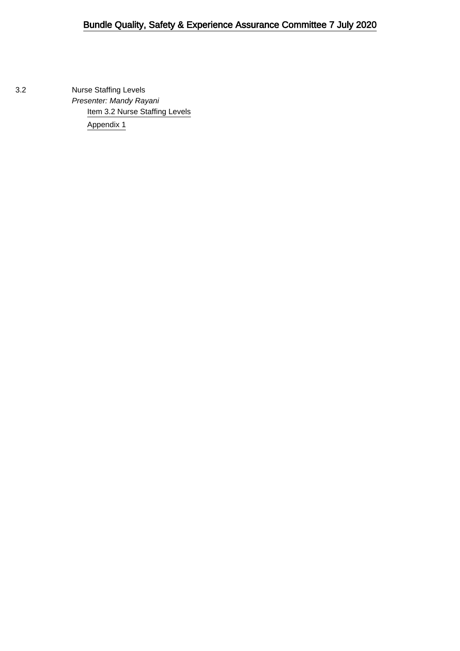3.2 Nurse Staffing Levels Presenter: Mandy Rayani [Item 3.2 Nurse Staffing Levels](#page-1-0) [Appendix 1](#page-10-0)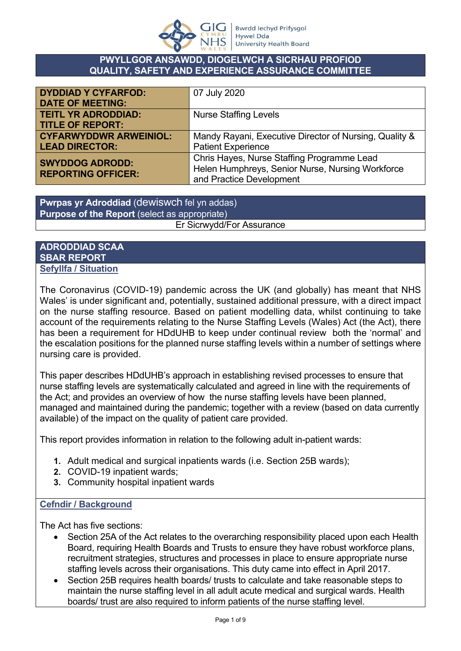

### **PWYLLGOR ANSAWDD, DIOGELWCH A SICRHAU PROFIOD QUALITY, SAFETY AND EXPERIENCE ASSURANCE COMMITTEE**

<span id="page-1-0"></span>

| <b>DYDDIAD Y CYFARFOD:</b><br><b>DATE OF MEETING:</b>  | 07 July 2020                                                                                                               |
|--------------------------------------------------------|----------------------------------------------------------------------------------------------------------------------------|
| <b>TEITL YR ADRODDIAD:</b><br><b>TITLE OF REPORT:</b>  | <b>Nurse Staffing Levels</b>                                                                                               |
| <b>CYFARWYDDWR ARWEINIOL:</b><br><b>LEAD DIRECTOR:</b> | Mandy Rayani, Executive Director of Nursing, Quality &<br><b>Patient Experience</b>                                        |
| <b>SWYDDOG ADRODD:</b><br><b>REPORTING OFFICER:</b>    | Chris Hayes, Nurse Staffing Programme Lead<br>Helen Humphreys, Senior Nurse, Nursing Workforce<br>and Practice Development |

**Pwrpas yr Adroddiad** (dewiswch fel yn addas) **Purpose of the Report** (select as appropriate) Er Sicrwydd/For Assurance

### **ADRODDIAD SCAA SBAR REPORT Sefyllfa / Situation**

The Coronavirus (COVID-19) pandemic across the UK (and globally) has meant that NHS Wales' is under significant and, potentially, sustained additional pressure, with a direct impact on the nurse staffing resource. Based on patient modelling data, whilst continuing to take account of the requirements relating to the Nurse Staffing Levels (Wales) Act (the Act), there has been a requirement for HDdUHB to keep under continual review both the 'normal' and the escalation positions for the planned nurse staffing levels within a number of settings where nursing care is provided.

This paper describes HDdUHB's approach in establishing revised processes to ensure that nurse staffing levels are systematically calculated and agreed in line with the requirements of the Act; and provides an overview of how the nurse staffing levels have been planned, managed and maintained during the pandemic; together with a review (based on data currently available) of the impact on the quality of patient care provided.

This report provides information in relation to the following adult in-patient wards:

- **1.** Adult medical and surgical inpatients wards (i.e. Section 25B wards);
- **2.** COVID-19 inpatient wards;
- **3.** Community hospital inpatient wards

### **Cefndir / Background**

The Act has five sections:

- Section 25A of the Act relates to the overarching responsibility placed upon each Health Board, requiring Health Boards and Trusts to ensure they have robust workforce plans, recruitment strategies, structures and processes in place to ensure appropriate nurse staffing levels across their organisations. This duty came into effect in April 2017.
- Section 25B requires health boards/ trusts to calculate and take reasonable steps to maintain the nurse staffing level in all adult acute medical and surgical wards. Health boards/ trust are also required to inform patients of the nurse staffing level.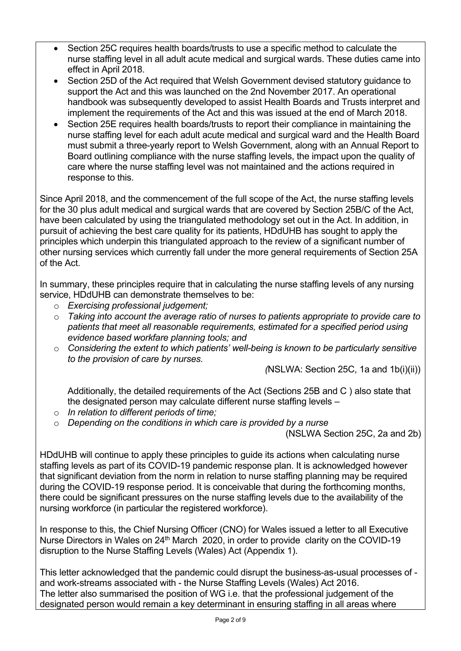- Section 25C requires health boards/trusts to use a specific method to calculate the nurse staffing level in all adult acute medical and surgical wards. These duties came into effect in April 2018.
- Section 25D of the Act required that Welsh Government devised statutory guidance to support the Act and this was launched on the 2nd November 2017. An operational handbook was subsequently developed to assist Health Boards and Trusts interpret and implement the requirements of the Act and this was issued at the end of March 2018.
- Section 25E requires health boards/trusts to report their compliance in maintaining the nurse staffing level for each adult acute medical and surgical ward and the Health Board must submit a three-yearly report to Welsh Government, along with an Annual Report to Board outlining compliance with the nurse staffing levels, the impact upon the quality of care where the nurse staffing level was not maintained and the actions required in response to this.

Since April 2018, and the commencement of the full scope of the Act, the nurse staffing levels for the 30 plus adult medical and surgical wards that are covered by Section 25B/C of the Act, have been calculated by using the triangulated methodology set out in the Act. In addition, in pursuit of achieving the best care quality for its patients, HDdUHB has sought to apply the principles which underpin this triangulated approach to the review of a significant number of other nursing services which currently fall under the more general requirements of Section 25A of the Act.

In summary, these principles require that in calculating the nurse staffing levels of any nursing service, HDdUHB can demonstrate themselves to be:

- o *Exercising professional judgement;*
- o *Taking into account the average ratio of nurses to patients appropriate to provide care to patients that meet all reasonable requirements, estimated for a specified period using evidence based workfare planning tools; and*
- o *Considering the extent to which patients' well-being is known to be particularly sensitive to the provision of care by nurses.*

 *(*NSLWA: Section 25C, 1a and 1b(i)(ii))

Additionally, the detailed requirements of the Act (Sections 25B and C ) also state that the designated person may calculate different nurse staffing levels –

- o *In relation to different periods of time;*
- o *Depending on the conditions in which care is provided by a nurse*

(NSLWA Section 25C, 2a and 2b)

HDdUHB will continue to apply these principles to guide its actions when calculating nurse staffing levels as part of its COVID-19 pandemic response plan. It is acknowledged however that significant deviation from the norm in relation to nurse staffing planning may be required during the COVID-19 response period. It is conceivable that during the forthcoming months, there could be significant pressures on the nurse staffing levels due to the availability of the nursing workforce (in particular the registered workforce).

In response to this, the Chief Nursing Officer (CNO) for Wales issued a letter to all Executive Nurse Directors in Wales on  $24<sup>th</sup>$  March 2020, in order to provide clarity on the COVID-19 disruption to the Nurse Staffing Levels (Wales) Act (Appendix 1).

This letter acknowledged that the pandemic could disrupt the business-as-usual processes of and work-streams associated with - the Nurse Staffing Levels (Wales) Act 2016. The letter also summarised the position of WG i.e. that the professional judgement of the designated person would remain a key determinant in ensuring staffing in all areas where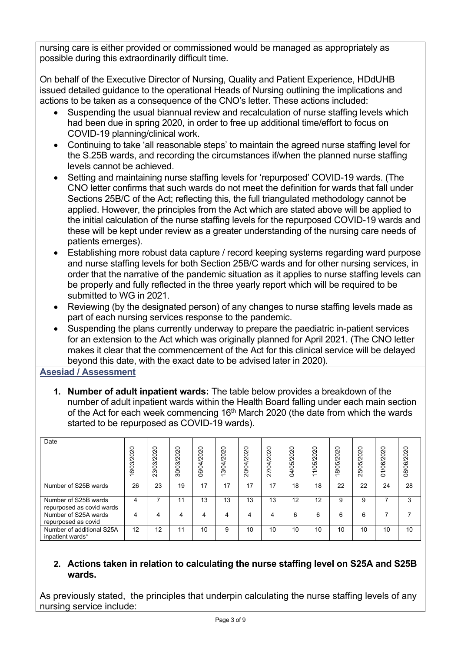nursing care is either provided or commissioned would be managed as appropriately as possible during this extraordinarily difficult time.

On behalf of the Executive Director of Nursing, Quality and Patient Experience, HDdUHB issued detailed guidance to the operational Heads of Nursing outlining the implications and actions to be taken as a consequence of the CNO's letter. These actions included:

- Suspending the usual biannual review and recalculation of nurse staffing levels which had been due in spring 2020, in order to free up additional time/effort to focus on COVID-19 planning/clinical work.
- Continuing to take 'all reasonable steps' to maintain the agreed nurse staffing level for the S.25B wards, and recording the circumstances if/when the planned nurse staffing levels cannot be achieved.
- Setting and maintaining nurse staffing levels for 'repurposed' COVID-19 wards. (The CNO letter confirms that such wards do not meet the definition for wards that fall under Sections 25B/C of the Act; reflecting this, the full triangulated methodology cannot be applied. However, the principles from the Act which are stated above will be applied to the initial calculation of the nurse staffing levels for the repurposed COVID-19 wards and these will be kept under review as a greater understanding of the nursing care needs of patients emerges).
- Establishing more robust data capture / record keeping systems regarding ward purpose and nurse staffing levels for both Section 25B/C wards and for other nursing services, in order that the narrative of the pandemic situation as it applies to nurse staffing levels can be properly and fully reflected in the three yearly report which will be required to be submitted to WG in 2021.
- Reviewing (by the designated person) of any changes to nurse staffing levels made as part of each nursing services response to the pandemic.
- Suspending the plans currently underway to prepare the paediatric in-patient services for an extension to the Act which was originally planned for April 2021. (The CNO letter makes it clear that the commencement of the Act for this clinical service will be delayed beyond this date, with the exact date to be advised later in 2020).

**Asesiad / Assessment**

**1. Number of adult inpatient wards:** The table below provides a breakdown of the number of adult inpatient wards within the Health Board falling under each main section of the Act for each week commencing  $16<sup>th</sup>$  March 2020 (the date from which the wards started to be repurposed as COVID-19 wards).

| Date                                              | 16/03/2020 | 23/03/2020 | 30/03/2020 | 06/04/2020 | 3/04/2020<br>$\overline{\phantom{0}}$ | 20/04/2020 | $\circ$<br>$\bar{\sim}$<br>7/04/202<br>$\sim$ | 04/05/2020 | 1/05/2020<br>$\overline{\phantom{0}}$ | 18/05/2020 | 25/05/2020 | 0<br>1/06/202<br>$\circ$ | 08/06/2020               |
|---------------------------------------------------|------------|------------|------------|------------|---------------------------------------|------------|-----------------------------------------------|------------|---------------------------------------|------------|------------|--------------------------|--------------------------|
| Number of S25B wards                              | 26         | 23         | 19         | 17         | 17                                    | 17         | 17                                            | 18         | 18                                    | 22         | 22         | 24                       | 28                       |
| Number of S25B wards<br>repurposed as covid wards | 4          |            | 11         | 13         | 13                                    | 13         | 13                                            | 12         | 12                                    | 9          | 9          | ⇁                        | 3                        |
| Number of S25A wards<br>repurposed as covid       | 4          | Δ          | 4          | 4          | 4                                     | 4          | 4                                             | 6          | 6                                     | 6          | 6          | $\overline{\phantom{a}}$ | $\overline{\phantom{a}}$ |
| Number of additional S25A<br>inpatient wards*     | 12         | 12         | 11         | 10         | 9                                     | 10         | 10                                            | 10         | 10                                    | 10         | 10         | 10                       | 10                       |

# **2. Actions taken in relation to calculating the nurse staffing level on S25A and S25B wards.**

As previously stated, the principles that underpin calculating the nurse staffing levels of any nursing service include: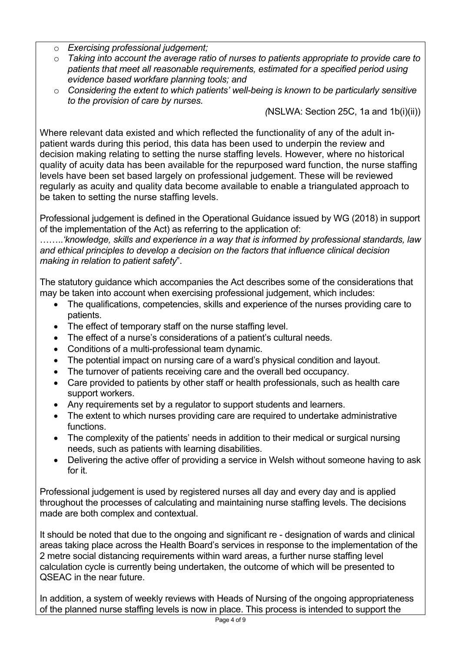- o *Exercising professional judgement;*
- o *Taking into account the average ratio of nurses to patients appropriate to provide care to patients that meet all reasonable requirements, estimated for a specified period using evidence based workfare planning tools; and*
- o *Considering the extent to which patients' well-being is known to be particularly sensitive to the provision of care by nurses.*

 *(*NSLWA: Section 25C, 1a and 1b(i)(ii))

Where relevant data existed and which reflected the functionality of any of the adult inpatient wards during this period, this data has been used to underpin the review and decision making relating to setting the nurse staffing levels. However, where no historical quality of acuity data has been available for the repurposed ward function, the nurse staffing levels have been set based largely on professional judgement. These will be reviewed regularly as acuity and quality data become available to enable a triangulated approach to be taken to setting the nurse staffing levels.

Professional judgement is defined in the Operational Guidance issued by WG (2018) in support of the implementation of the Act) as referring to the application of:

……..*'knowledge, skills and experience in a way that is informed by professional standards, law and ethical principles to develop a decision on the factors that influence clinical decision making in relation to patient safety*".

The statutory guidance which accompanies the Act describes some of the considerations that may be taken into account when exercising professional judgement, which includes:

- The qualifications, competencies, skills and experience of the nurses providing care to patients.
- The effect of temporary staff on the nurse staffing level.
- The effect of a nurse's considerations of a patient's cultural needs.
- Conditions of a multi-professional team dynamic.
- The potential impact on nursing care of a ward's physical condition and layout.
- The turnover of patients receiving care and the overall bed occupancy.
- Care provided to patients by other staff or health professionals, such as health care support workers.
- Any requirements set by a regulator to support students and learners.
- The extent to which nurses providing care are required to undertake administrative functions.
- The complexity of the patients' needs in addition to their medical or surgical nursing needs, such as patients with learning disabilities.
- Delivering the active offer of providing a service in Welsh without someone having to ask for it.

Professional judgement is used by registered nurses all day and every day and is applied throughout the processes of calculating and maintaining nurse staffing levels. The decisions made are both complex and contextual.

It should be noted that due to the ongoing and significant re - designation of wards and clinical areas taking place across the Health Board's services in response to the implementation of the 2 metre social distancing requirements within ward areas, a further nurse staffing level calculation cycle is currently being undertaken, the outcome of which will be presented to QSEAC in the near future.

In addition, a system of weekly reviews with Heads of Nursing of the ongoing appropriateness of the planned nurse staffing levels is now in place. This process is intended to support the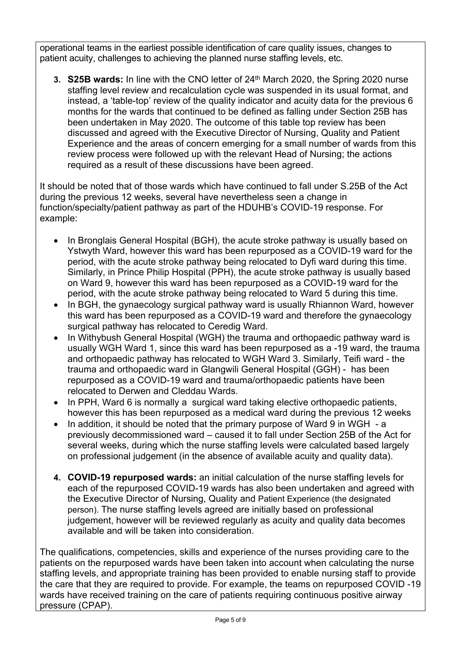operational teams in the earliest possible identification of care quality issues, changes to patient acuity, challenges to achieving the planned nurse staffing levels, etc.

**3. S25B wards:** In line with the CNO letter of 24<sup>th</sup> March 2020, the Spring 2020 nurse staffing level review and recalculation cycle was suspended in its usual format, and instead, a 'table-top' review of the quality indicator and acuity data for the previous 6 months for the wards that continued to be defined as falling under Section 25B has been undertaken in May 2020. The outcome of this table top review has been discussed and agreed with the Executive Director of Nursing, Quality and Patient Experience and the areas of concern emerging for a small number of wards from this review process were followed up with the relevant Head of Nursing; the actions required as a result of these discussions have been agreed.

It should be noted that of those wards which have continued to fall under S.25B of the Act during the previous 12 weeks, several have nevertheless seen a change in function/specialty/patient pathway as part of the HDUHB's COVID-19 response. For example:

- In Bronglais General Hospital (BGH), the acute stroke pathway is usually based on Ystwyth Ward, however this ward has been repurposed as a COVID-19 ward for the period, with the acute stroke pathway being relocated to Dyfi ward during this time. Similarly, in Prince Philip Hospital (PPH), the acute stroke pathway is usually based on Ward 9, however this ward has been repurposed as a COVID-19 ward for the period, with the acute stroke pathway being relocated to Ward 5 during this time.
- In BGH, the gynaecology surgical pathway ward is usually Rhiannon Ward, however this ward has been repurposed as a COVID-19 ward and therefore the gynaecology surgical pathway has relocated to Ceredig Ward.
- In Withybush General Hospital (WGH) the trauma and orthopaedic pathway ward is usually WGH Ward 1, since this ward has been repurposed as a -19 ward, the trauma and orthopaedic pathway has relocated to WGH Ward 3. Similarly, Teifi ward - the trauma and orthopaedic ward in Glangwili General Hospital (GGH) - has been repurposed as a COVID-19 ward and trauma/orthopaedic patients have been relocated to Derwen and Cleddau Wards.
- In PPH, Ward 6 is normally a surgical ward taking elective orthopaedic patients, however this has been repurposed as a medical ward during the previous 12 weeks
- In addition, it should be noted that the primary purpose of Ward 9 in WGH a previously decommissioned ward – caused it to fall under Section 25B of the Act for several weeks, during which the nurse staffing levels were calculated based largely on professional judgement (in the absence of available acuity and quality data).
- **4. COVID-19 repurposed wards:** an initial calculation of the nurse staffing levels for each of the repurposed COVID-19 wards has also been undertaken and agreed with the Executive Director of Nursing, Quality and Patient Experience (the designated person). The nurse staffing levels agreed are initially based on professional iudgement, however will be reviewed regularly as acuity and quality data becomes available and will be taken into consideration.

The qualifications, competencies, skills and experience of the nurses providing care to the patients on the repurposed wards have been taken into account when calculating the nurse staffing levels, and appropriate training has been provided to enable nursing staff to provide the care that they are required to provide. For example, the teams on repurposed COVID -19 wards have received training on the care of patients requiring continuous positive airway pressure (CPAP).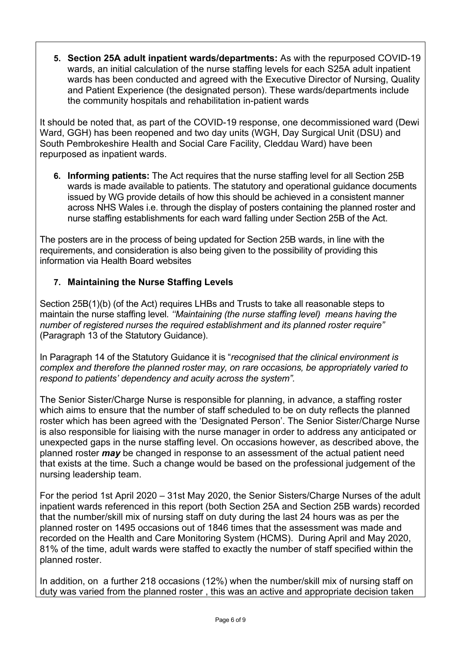**5. Section 25A adult inpatient wards/departments:** As with the repurposed COVID-19 wards, an initial calculation of the nurse staffing levels for each S25A adult inpatient wards has been conducted and agreed with the Executive Director of Nursing, Quality and Patient Experience (the designated person). These wards/departments include the community hospitals and rehabilitation in-patient wards

It should be noted that, as part of the COVID-19 response, one decommissioned ward (Dewi Ward, GGH) has been reopened and two day units (WGH, Day Surgical Unit (DSU) and South Pembrokeshire Health and Social Care Facility, Cleddau Ward) have been repurposed as inpatient wards.

**6. Informing patients:** The Act requires that the nurse staffing level for all Section 25B wards is made available to patients. The statutory and operational guidance documents issued by WG provide details of how this should be achieved in a consistent manner across NHS Wales i.e. through the display of posters containing the planned roster and nurse staffing establishments for each ward falling under Section 25B of the Act.

The posters are in the process of being updated for Section 25B wards, in line with the requirements, and consideration is also being given to the possibility of providing this information via Health Board websites

# **7. Maintaining the Nurse Staffing Levels**

Section 25B(1)(b) (of the Act) requires LHBs and Trusts to take all reasonable steps to maintain the nurse staffing level*. ''Maintaining (the nurse staffing level) means having the number of registered nurses the required establishment and its planned roster require"* (Paragraph 13 of the Statutory Guidance).

In Paragraph 14 of the Statutory Guidance it is "*recognised that the clinical environment is complex and therefore the planned roster may, on rare occasions, be appropriately varied to respond to patients' dependency and acuity across the system".* 

The Senior Sister/Charge Nurse is responsible for planning, in advance, a staffing roster which aims to ensure that the number of staff scheduled to be on duty reflects the planned roster which has been agreed with the 'Designated Person'. The Senior Sister/Charge Nurse is also responsible for liaising with the nurse manager in order to address any anticipated or unexpected gaps in the nurse staffing level. On occasions however, as described above, the planned roster *may* be changed in response to an assessment of the actual patient need that exists at the time. Such a change would be based on the professional judgement of the nursing leadership team.

For the period 1st April 2020 – 31st May 2020, the Senior Sisters/Charge Nurses of the adult inpatient wards referenced in this report (both Section 25A and Section 25B wards) recorded that the number/skill mix of nursing staff on duty during the last 24 hours was as per the planned roster on 1495 occasions out of 1846 times that the assessment was made and recorded on the Health and Care Monitoring System (HCMS). During April and May 2020, 81% of the time, adult wards were staffed to exactly the number of staff specified within the planned roster.

In addition, on a further 218 occasions (12%) when the number/skill mix of nursing staff on duty was varied from the planned roster , this was an active and appropriate decision taken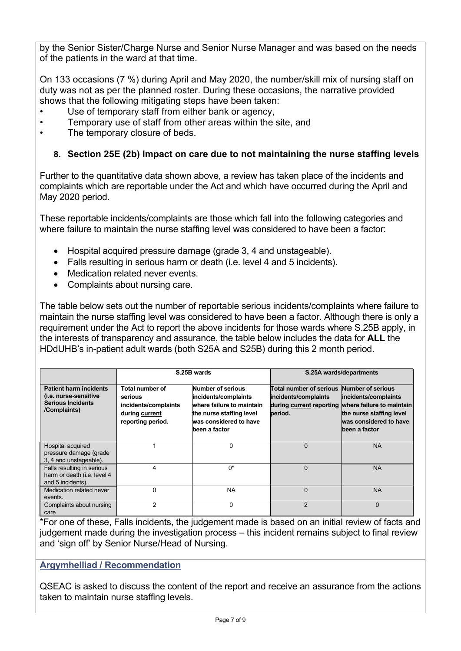by the Senior Sister/Charge Nurse and Senior Nurse Manager and was based on the needs of the patients in the ward at that time.

On 133 occasions (7 %) during April and May 2020, the number/skill mix of nursing staff on duty was not as per the planned roster. During these occasions, the narrative provided shows that the following mitigating steps have been taken:

- Use of temporary staff from either bank or agency,
- Temporary use of staff from other areas within the site, and
- The temporary closure of beds.

## **8. Section 25E (2b) Impact on care due to not maintaining the nurse staffing levels**

Further to the quantitative data shown above, a review has taken place of the incidents and complaints which are reportable under the Act and which have occurred during the April and May 2020 period.

These reportable incidents/complaints are those which fall into the following categories and where failure to maintain the nurse staffing level was considered to have been a factor:

- Hospital acquired pressure damage (grade 3, 4 and unstageable).
- Falls resulting in serious harm or death (i.e. level 4 and 5 incidents).
- Medication related never events.
- Complaints about nursing care.

The table below sets out the number of reportable serious incidents/complaints where failure to maintain the nurse staffing level was considered to have been a factor. Although there is only a requirement under the Act to report the above incidents for those wards where S.25B apply, in the interests of transparency and assurance, the table below includes the data for **ALL** the HDdUHB's in-patient adult wards (both S25A and S25B) during this 2 month period.

|                                                                                                    |                                                                                           | S.25B wards                                                                                                                                   | S.25A wards/departments                                                                                  |                                                                                                                          |  |  |
|----------------------------------------------------------------------------------------------------|-------------------------------------------------------------------------------------------|-----------------------------------------------------------------------------------------------------------------------------------------------|----------------------------------------------------------------------------------------------------------|--------------------------------------------------------------------------------------------------------------------------|--|--|
| <b>Patient harm incidents</b><br>(i.e. nurse-sensitive<br><b>Serious Incidents</b><br>/Complaints) | Total number of<br>serious<br>incidents/complaints<br>during current<br>reporting period. | Number of serious<br>incidents/complaints<br>where failure to maintain<br>the nurse staffing level<br>was considered to have<br>been a factor | Total number of serious Number of serious<br>incidents/complaints<br>during current reporting<br>period. | incidents/complaints<br>where failure to maintain<br>the nurse staffing level<br>was considered to have<br>been a factor |  |  |
| Hospital acquired<br>pressure damage (grade<br>3, 4 and unstageable).                              |                                                                                           | 0                                                                                                                                             | $\Omega$                                                                                                 | <b>NA</b>                                                                                                                |  |  |
| Falls resulting in serious<br>harm or death (i.e. level 4<br>and 5 incidents).                     | 4                                                                                         | 0*                                                                                                                                            | $\Omega$                                                                                                 | <b>NA</b>                                                                                                                |  |  |
| Medication related never<br>events.                                                                | 0                                                                                         | <b>NA</b>                                                                                                                                     | $\Omega$                                                                                                 | <b>NA</b>                                                                                                                |  |  |
| Complaints about nursing<br>care                                                                   | 2                                                                                         | 0                                                                                                                                             | $\mathfrak{p}$                                                                                           | $\Omega$                                                                                                                 |  |  |

\*For one of these, Falls incidents, the judgement made is based on an initial review of facts and judgement made during the investigation process – this incident remains subject to final review and 'sign off' by Senior Nurse/Head of Nursing.

### **Argymhelliad / Recommendation**

QSEAC is asked to discuss the content of the report and receive an assurance from the actions taken to maintain nurse staffing levels.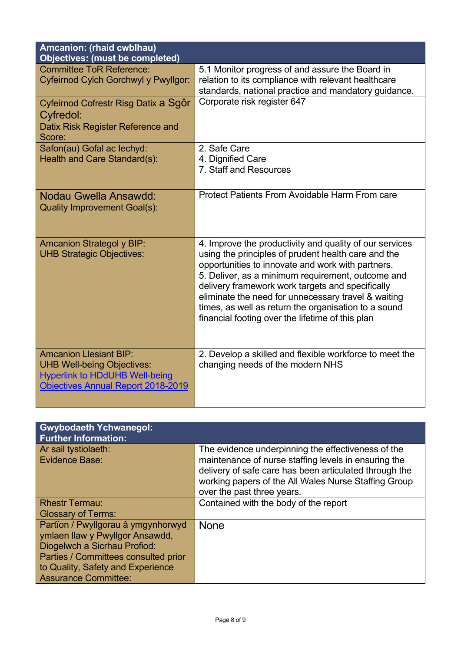| Amcanion: (rhaid cwblhau)<br><b>Objectives: (must be completed)</b>                                                                                      |                                                                                                                                                                                                                                                                                                                                                                                                                                                 |
|----------------------------------------------------------------------------------------------------------------------------------------------------------|-------------------------------------------------------------------------------------------------------------------------------------------------------------------------------------------------------------------------------------------------------------------------------------------------------------------------------------------------------------------------------------------------------------------------------------------------|
| <b>Committee ToR Reference:</b><br>Cyfeirnod Cylch Gorchwyl y Pwyllgor:                                                                                  | 5.1 Monitor progress of and assure the Board in<br>relation to its compliance with relevant healthcare<br>standards, national practice and mandatory guidance.                                                                                                                                                                                                                                                                                  |
| Cyfeirnod Cofrestr Risg Datix a Sgôr<br>Cyfredol:<br>Datix Risk Register Reference and<br>Score:                                                         | Corporate risk register 647                                                                                                                                                                                                                                                                                                                                                                                                                     |
| Safon(au) Gofal ac lechyd:<br>Health and Care Standard(s):                                                                                               | 2. Safe Care<br>4. Dignified Care<br>7. Staff and Resources                                                                                                                                                                                                                                                                                                                                                                                     |
| Nodau Gwella Ansawdd:<br><b>Quality Improvement Goal(s):</b>                                                                                             | Protect Patients From Avoidable Harm From care                                                                                                                                                                                                                                                                                                                                                                                                  |
| <b>Amcanion Strategol y BIP:</b><br><b>UHB Strategic Objectives:</b>                                                                                     | 4. Improve the productivity and quality of our services<br>using the principles of prudent health care and the<br>opportunities to innovate and work with partners.<br>5. Deliver, as a minimum requirement, outcome and<br>delivery framework work targets and specifically<br>eliminate the need for unnecessary travel & waiting<br>times, as well as return the organisation to a sound<br>financial footing over the lifetime of this plan |
| <b>Amcanion Llesiant BIP:</b><br><b>UHB Well-being Objectives:</b><br><b>Hyperlink to HDdUHB Well-being</b><br><b>Objectives Annual Report 2018-2019</b> | 2. Develop a skilled and flexible workforce to meet the<br>changing needs of the modern NHS                                                                                                                                                                                                                                                                                                                                                     |

| <b>Gwybodaeth Ychwanegol:</b><br><b>Further Information:</b>                                                                                                                                                      |                                                                                                                                                                                                                                                            |
|-------------------------------------------------------------------------------------------------------------------------------------------------------------------------------------------------------------------|------------------------------------------------------------------------------------------------------------------------------------------------------------------------------------------------------------------------------------------------------------|
| Ar sail tystiolaeth:<br>Evidence Base:                                                                                                                                                                            | The evidence underpinning the effectiveness of the<br>maintenance of nurse staffing levels in ensuring the<br>delivery of safe care has been articulated through the<br>working papers of the All Wales Nurse Staffing Group<br>over the past three years. |
| <b>Rhestr Termau:</b><br><b>Glossary of Terms:</b>                                                                                                                                                                | Contained with the body of the report                                                                                                                                                                                                                      |
| Partïon / Pwyllgorau â ymgynhorwyd<br>ymlaen llaw y Pwyllgor Ansawdd,<br>Diogelwch a Sicrhau Profiod:<br>Parties / Committees consulted prior<br>to Quality, Safety and Experience<br><b>Assurance Committee:</b> | <b>None</b>                                                                                                                                                                                                                                                |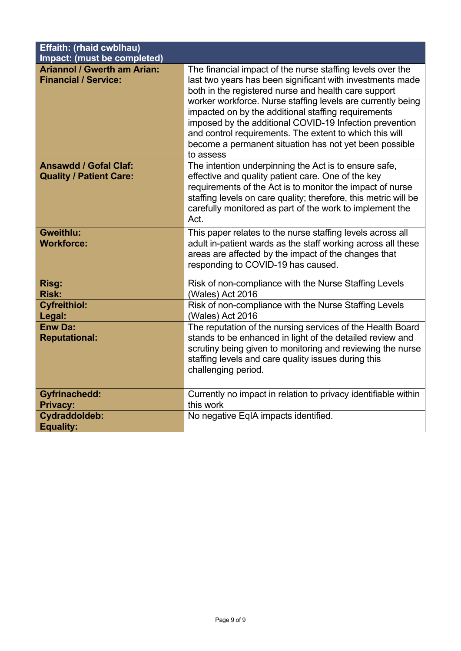| <b>Effaith: (rhaid cwblhau)</b>                                   |                                                                                                                                                                                                                                                                                                                                                                                                                                                                                                    |
|-------------------------------------------------------------------|----------------------------------------------------------------------------------------------------------------------------------------------------------------------------------------------------------------------------------------------------------------------------------------------------------------------------------------------------------------------------------------------------------------------------------------------------------------------------------------------------|
| <b>Impact: (must be completed)</b>                                |                                                                                                                                                                                                                                                                                                                                                                                                                                                                                                    |
| <b>Ariannol / Gwerth am Arian:</b><br><b>Financial / Service:</b> | The financial impact of the nurse staffing levels over the<br>last two years has been significant with investments made<br>both in the registered nurse and health care support<br>worker workforce. Nurse staffing levels are currently being<br>impacted on by the additional staffing requirements<br>imposed by the additional COVID-19 Infection prevention<br>and control requirements. The extent to which this will<br>become a permanent situation has not yet been possible<br>to assess |
| <b>Ansawdd / Gofal Claf:</b><br><b>Quality / Patient Care:</b>    | The intention underpinning the Act is to ensure safe,<br>effective and quality patient care. One of the key<br>requirements of the Act is to monitor the impact of nurse<br>staffing levels on care quality; therefore, this metric will be<br>carefully monitored as part of the work to implement the<br>Act.                                                                                                                                                                                    |
| <b>Gweithlu:</b><br><b>Workforce:</b>                             | This paper relates to the nurse staffing levels across all<br>adult in-patient wards as the staff working across all these<br>areas are affected by the impact of the changes that<br>responding to COVID-19 has caused.                                                                                                                                                                                                                                                                           |
| Risg:<br><b>Risk:</b>                                             | Risk of non-compliance with the Nurse Staffing Levels<br>(Wales) Act 2016                                                                                                                                                                                                                                                                                                                                                                                                                          |
| <b>Cyfreithiol:</b><br>Legal:                                     | Risk of non-compliance with the Nurse Staffing Levels<br>(Wales) Act 2016                                                                                                                                                                                                                                                                                                                                                                                                                          |
| <b>Enw Da:</b><br><b>Reputational:</b>                            | The reputation of the nursing services of the Health Board<br>stands to be enhanced in light of the detailed review and<br>scrutiny being given to monitoring and reviewing the nurse<br>staffing levels and care quality issues during this<br>challenging period.                                                                                                                                                                                                                                |
| <b>Gyfrinachedd:</b><br><b>Privacy:</b>                           | Currently no impact in relation to privacy identifiable within<br>this work                                                                                                                                                                                                                                                                                                                                                                                                                        |
| Cydraddoldeb:<br><b>Equality:</b>                                 | No negative EqIA impacts identified.                                                                                                                                                                                                                                                                                                                                                                                                                                                               |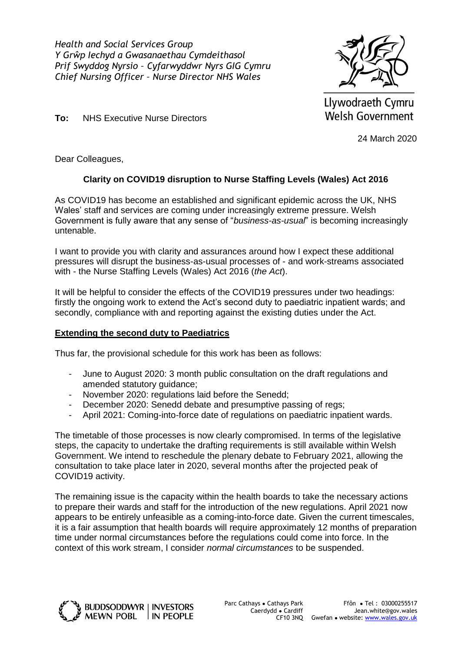<span id="page-10-0"></span>*Health and Social Services Group Y Grŵp Iechyd a Gwasanaethau Cymdeithasol Prif Swyddog Nyrsio – Cyfarwyddwr Nyrs GIG Cymru Chief Nursing Officer – Nurse Director NHS Wales*



Llywodraeth Cymru Welsh Government

24 March 2020

Dear Colleagues,

**To:** NHS Executive Nurse Directors

### **Clarity on COVID19 disruption to Nurse Staffing Levels (Wales) Act 2016**

As COVID19 has become an established and significant epidemic across the UK, NHS Wales' staff and services are coming under increasingly extreme pressure. Welsh Government is fully aware that any sense of "*business-as-usual*" is becoming increasingly untenable.

I want to provide you with clarity and assurances around how I expect these additional pressures will disrupt the business-as-usual processes of - and work-streams associated with - the Nurse Staffing Levels (Wales) Act 2016 (*the Act*).

It will be helpful to consider the effects of the COVID19 pressures under two headings: firstly the ongoing work to extend the Act's second duty to paediatric inpatient wards; and secondly, compliance with and reporting against the existing duties under the Act.

### **Extending the second duty to Paediatrics**

Thus far, the provisional schedule for this work has been as follows:

- June to August 2020: 3 month public consultation on the draft regulations and amended statutory guidance;
- November 2020: regulations laid before the Senedd;
- December 2020: Senedd debate and presumptive passing of regs;
- April 2021: Coming-into-force date of regulations on paediatric inpatient wards.

The timetable of those processes is now clearly compromised. In terms of the legislative steps, the capacity to undertake the drafting requirements is still available within Welsh Government. We intend to reschedule the plenary debate to February 2021, allowing the consultation to take place later in 2020, several months after the projected peak of COVID19 activity.

The remaining issue is the capacity within the health boards to take the necessary actions to prepare their wards and staff for the introduction of the new regulations. April 2021 now appears to be entirely unfeasible as a coming-into-force date. Given the current timescales, it is a fair assumption that health boards will require approximately 12 months of preparation time under normal circumstances before the regulations could come into force. In the context of this work stream, I consider *normal circumstances* to be suspended.

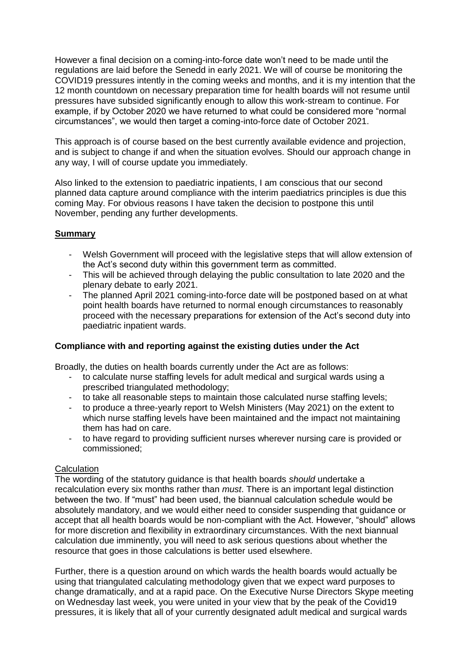However a final decision on a coming-into-force date won't need to be made until the regulations are laid before the Senedd in early 2021. We will of course be monitoring the COVID19 pressures intently in the coming weeks and months, and it is my intention that the 12 month countdown on necessary preparation time for health boards will not resume until pressures have subsided significantly enough to allow this work-stream to continue. For example, if by October 2020 we have returned to what could be considered more "normal circumstances", we would then target a coming-into-force date of October 2021.

This approach is of course based on the best currently available evidence and projection, and is subject to change if and when the situation evolves. Should our approach change in any way, I will of course update you immediately.

Also linked to the extension to paediatric inpatients, I am conscious that our second planned data capture around compliance with the interim paediatrics principles is due this coming May. For obvious reasons I have taken the decision to postpone this until November, pending any further developments.

### **Summary**

- Welsh Government will proceed with the legislative steps that will allow extension of the Act's second duty within this government term as committed.
- This will be achieved through delaying the public consultation to late 2020 and the plenary debate to early 2021.
- The planned April 2021 coming-into-force date will be postponed based on at what point health boards have returned to normal enough circumstances to reasonably proceed with the necessary preparations for extension of the Act's second duty into paediatric inpatient wards.

### **Compliance with and reporting against the existing duties under the Act**

Broadly, the duties on health boards currently under the Act are as follows:

- to calculate nurse staffing levels for adult medical and surgical wards using a prescribed triangulated methodology;
- to take all reasonable steps to maintain those calculated nurse staffing levels;
- to produce a three-yearly report to Welsh Ministers (May 2021) on the extent to which nurse staffing levels have been maintained and the impact not maintaining them has had on care.
- to have regard to providing sufficient nurses wherever nursing care is provided or commissioned;

### **Calculation**

The wording of the statutory guidance is that health boards *should* undertake a recalculation every six months rather than *must*. There is an important legal distinction between the two. If "must" had been used, the biannual calculation schedule would be absolutely mandatory, and we would either need to consider suspending that guidance or accept that all health boards would be non-compliant with the Act. However, "should" allows for more discretion and flexibility in extraordinary circumstances. With the next biannual calculation due imminently, you will need to ask serious questions about whether the resource that goes in those calculations is better used elsewhere.

Further, there is a question around on which wards the health boards would actually be using that triangulated calculating methodology given that we expect ward purposes to change dramatically, and at a rapid pace. On the Executive Nurse Directors Skype meeting on Wednesday last week, you were united in your view that by the peak of the Covid19 pressures, it is likely that all of your currently designated adult medical and surgical wards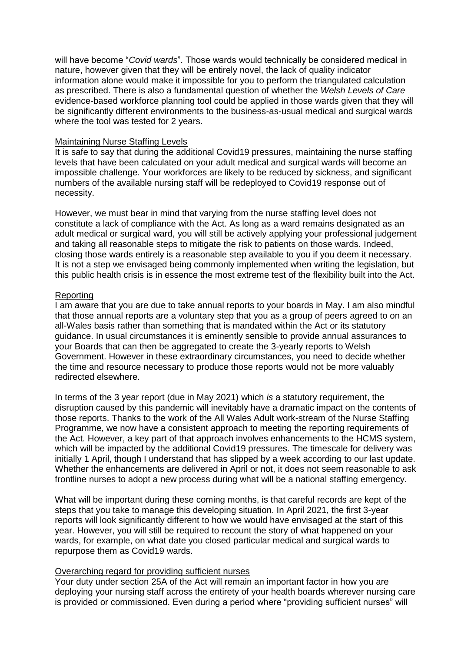will have become "*Covid wards*". Those wards would technically be considered medical in nature, however given that they will be entirely novel, the lack of quality indicator information alone would make it impossible for you to perform the triangulated calculation as prescribed. There is also a fundamental question of whether the *Welsh Levels of Care* evidence-based workforce planning tool could be applied in those wards given that they will be significantly different environments to the business-as-usual medical and surgical wards where the tool was tested for 2 years.

#### Maintaining Nurse Staffing Levels

It is safe to say that during the additional Covid19 pressures, maintaining the nurse staffing levels that have been calculated on your adult medical and surgical wards will become an impossible challenge. Your workforces are likely to be reduced by sickness, and significant numbers of the available nursing staff will be redeployed to Covid19 response out of necessity.

However, we must bear in mind that varying from the nurse staffing level does not constitute a lack of compliance with the Act. As long as a ward remains designated as an adult medical or surgical ward, you will still be actively applying your professional judgement and taking all reasonable steps to mitigate the risk to patients on those wards. Indeed, closing those wards entirely is a reasonable step available to you if you deem it necessary. It is not a step we envisaged being commonly implemented when writing the legislation, but this public health crisis is in essence the most extreme test of the flexibility built into the Act.

#### Reporting

I am aware that you are due to take annual reports to your boards in May. I am also mindful that those annual reports are a voluntary step that you as a group of peers agreed to on an all-Wales basis rather than something that is mandated within the Act or its statutory guidance. In usual circumstances it is eminently sensible to provide annual assurances to your Boards that can then be aggregated to create the 3-yearly reports to Welsh Government. However in these extraordinary circumstances, you need to decide whether the time and resource necessary to produce those reports would not be more valuably redirected elsewhere.

In terms of the 3 year report (due in May 2021) which *is* a statutory requirement, the disruption caused by this pandemic will inevitably have a dramatic impact on the contents of those reports. Thanks to the work of the All Wales Adult work-stream of the Nurse Staffing Programme, we now have a consistent approach to meeting the reporting requirements of the Act. However, a key part of that approach involves enhancements to the HCMS system, which will be impacted by the additional Covid19 pressures. The timescale for delivery was initially 1 April, though I understand that has slipped by a week according to our last update. Whether the enhancements are delivered in April or not, it does not seem reasonable to ask frontline nurses to adopt a new process during what will be a national staffing emergency.

What will be important during these coming months, is that careful records are kept of the steps that you take to manage this developing situation. In April 2021, the first 3-year reports will look significantly different to how we would have envisaged at the start of this year. However, you will still be required to recount the story of what happened on your wards, for example, on what date you closed particular medical and surgical wards to repurpose them as Covid19 wards.

#### Overarching regard for providing sufficient nurses

Your duty under section 25A of the Act will remain an important factor in how you are deploying your nursing staff across the entirety of your health boards wherever nursing care is provided or commissioned. Even during a period where "providing sufficient nurses" will